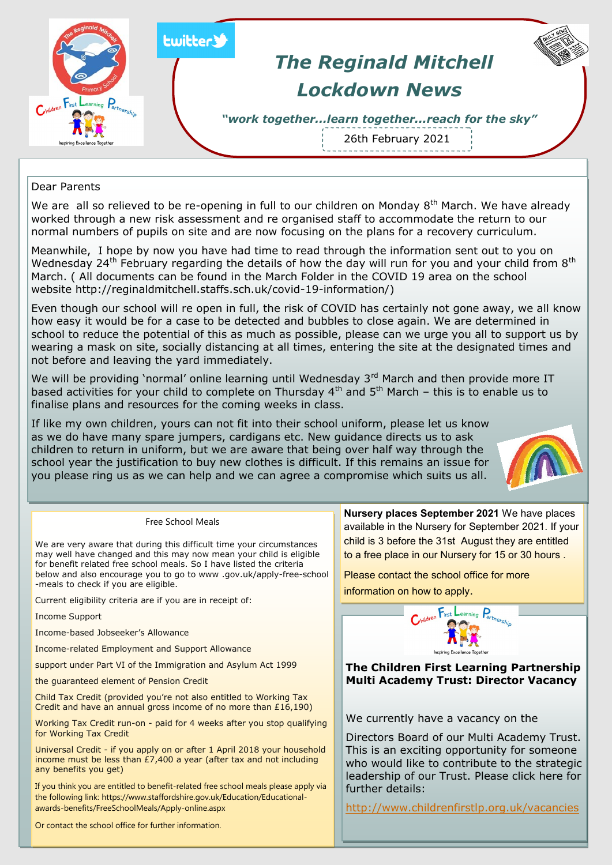

Dear Parents

We are all so relieved to be re-opening in full to our children on Monday  $8<sup>th</sup>$  March. We have already worked through a new risk assessment and re organised staff to accommodate the return to our normal numbers of pupils on site and are now focusing on the plans for a recovery curriculum.

Meanwhile, I hope by now you have had time to read through the information sent out to you on Wednesday 24<sup>th</sup> February regarding the details of how the day will run for you and your child from 8<sup>th</sup> March. ( All documents can be found in the March Folder in the COVID 19 area on the school website http://reginaldmitchell.staffs.sch.uk/covid-19-information/)

Even though our school will re open in full, the risk of COVID has certainly not gone away, we all know how easy it would be for a case to be detected and bubbles to close again. We are determined in school to reduce the potential of this as much as possible, please can we urge you all to support us by wearing a mask on site, socially distancing at all times, entering the site at the designated times and not before and leaving the yard immediately.

We will be providing 'normal' online learning until Wednesday 3rd March and then provide more IT based activities for your child to complete on Thursday 4<sup>th</sup> and 5<sup>th</sup> March – this is to enable us to finalise plans and resources for the coming weeks in class.

If like my own children, yours can not fit into their school uniform, please let us know as we do have many spare jumpers, cardigans etc. New guidance directs us to ask children to return in uniform, but we are aware that being over half way through the school year the justification to buy new clothes is difficult. If this remains an issue for you please ring us as we can help and we can agree a compromise which suits us all.



## Free School Meals

We are very aware that during this difficult time your circumstances may well have changed and this may now mean your child is eligible for benefit related free school meals. So I have listed the criteria below and also encourage you to go to www .gov.uk/apply-free-school -meals to check if you are eligible.

Current eligibility criteria are if you are in receipt of:

Income Support

Income-based Jobseeker's Allowance

Income-related Employment and Support Allowance

support under Part VI of the Immigration and Asylum Act 1999

the guaranteed element of Pension Credit

Child Tax Credit (provided you're not also entitled to Working Tax Credit and have an annual gross income of no more than  $£16,190)$ 

Working Tax Credit run-on - paid for 4 weeks after you stop qualifying for Working Tax Credit

Universal Credit - if you apply on or after 1 April 2018 your household income must be less than  $E7,400$  a year (after tax and not including any benefits you get)

If you think you are entitled to benefit-related free school meals please apply via the following link: https://www.staffordshire.gov.uk/Education/Educationalawards-benefits/FreeSchoolMeals/Apply-online.aspx

Or contact the school office for further information.

**Nursery places September 2021** We have places available in the Nursery for September 2021. If your child is 3 before the 31st August they are entitled to a free place in our Nursery for 15 or 30 hours .

Please contact the school office for more information on how to apply.



**The Children First Learning Partnership Multi Academy Trust: Director Vacancy**

We currently have a vacancy on the

Directors Board of our Multi Academy Trust. This is an exciting opportunity for someone who would like to contribute to the strategic leadership of our Trust. Please click here for further details:

<http://www.childrenfirstlp.org.uk/vacancies>